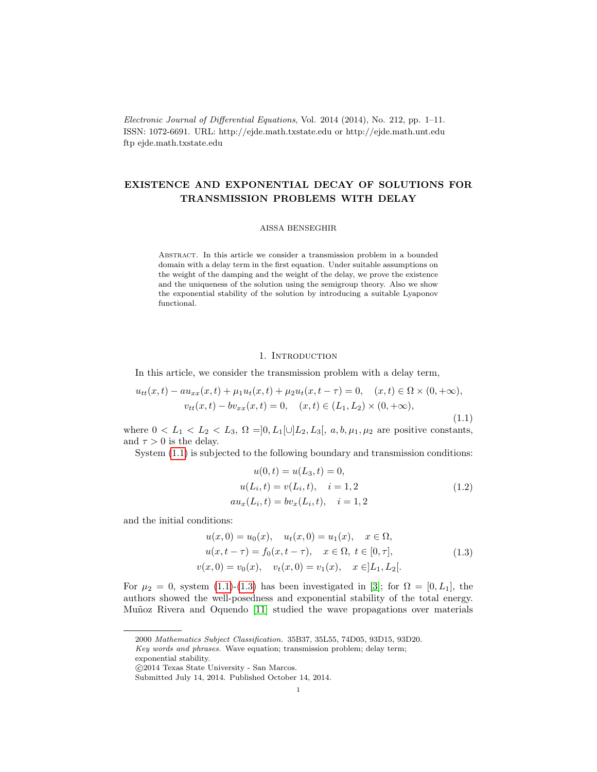Electronic Journal of Differential Equations, Vol. 2014 (2014), No. 212, pp. 1–11. ISSN: 1072-6691. URL: http://ejde.math.txstate.edu or http://ejde.math.unt.edu ftp ejde.math.txstate.edu

# EXISTENCE AND EXPONENTIAL DECAY OF SOLUTIONS FOR TRANSMISSION PROBLEMS WITH DELAY

### AISSA BENSEGHIR

Abstract. In this article we consider a transmission problem in a bounded domain with a delay term in the first equation. Under suitable assumptions on the weight of the damping and the weight of the delay, we prove the existence and the uniqueness of the solution using the semigroup theory. Also we show the exponential stability of the solution by introducing a suitable Lyaponov functional.

### 1. INTRODUCTION

In this article, we consider the transmission problem with a delay term,

<span id="page-0-0"></span>
$$
u_{tt}(x,t) - au_{xx}(x,t) + \mu_1 u_t(x,t) + \mu_2 u_t(x,t-\tau) = 0, \quad (x,t) \in \Omega \times (0,+\infty),
$$
  

$$
v_{tt}(x,t) - bv_{xx}(x,t) = 0, \quad (x,t) \in (L_1, L_2) \times (0,+\infty),
$$
  
(1.1)

where  $0 < L_1 < L_2 < L_3$ ,  $\Omega = ]0, L_1[ \cup ]L_2, L_3[$ ,  $a, b, \mu_1, \mu_2$  are positive constants, and  $\tau > 0$  is the delay.

System [\(1.1\)](#page-0-0) is subjected to the following boundary and transmission conditions:

<span id="page-0-2"></span>
$$
u(0, t) = u(L_3, t) = 0,
$$
  
\n
$$
u(L_i, t) = v(L_i, t), \quad i = 1, 2
$$
  
\n
$$
au_x(L_i, t) = bv_x(L_i, t), \quad i = 1, 2
$$
\n(1.2)

and the initial conditions:

<span id="page-0-1"></span>
$$
u(x, 0) = u_0(x), \quad u_t(x, 0) = u_1(x), \quad x \in \Omega,
$$
  

$$
u(x, t - \tau) = f_0(x, t - \tau), \quad x \in \Omega, \ t \in [0, \tau],
$$
  

$$
v(x, 0) = v_0(x), \quad v_t(x, 0) = v_1(x), \quad x \in ]L_1, L_2[.
$$
 (1.3)

For  $\mu_2 = 0$ , system [\(1.1\)](#page-0-0)-[\(1.3\)](#page-0-1) has been investigated in [\[3\]](#page-10-0); for  $\Omega = [0, L_1]$ , the authors showed the well-posedness and exponential stability of the total energy. Muñoz Rivera and Oquendo [\[11\]](#page-10-1) studied the wave propagations over materials

<sup>2000</sup> Mathematics Subject Classification. 35B37, 35L55, 74D05, 93D15, 93D20.

Key words and phrases. Wave equation; transmission problem; delay term;

exponential stability.

c 2014 Texas State University - San Marcos.

Submitted July 14, 2014. Published October 14, 2014.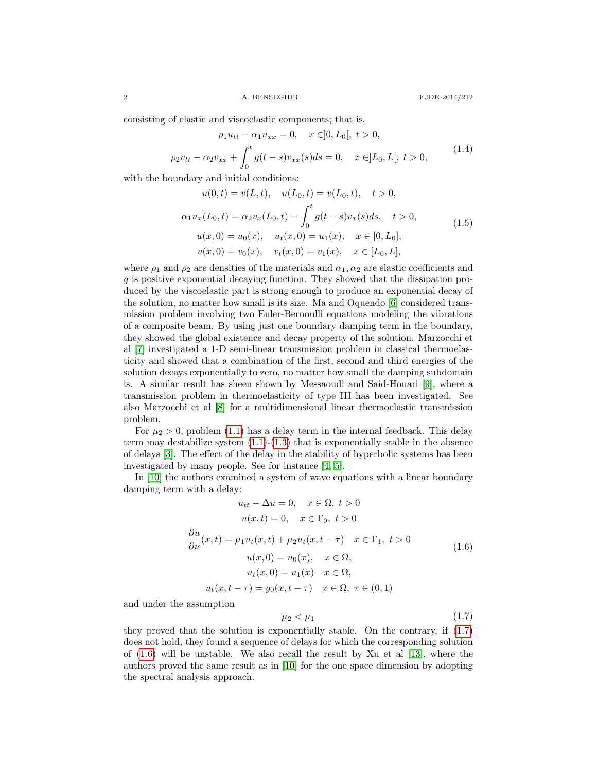consisting of elastic and viscoelastic components; that is,

$$
\rho_1 u_{tt} - \alpha_1 u_{xx} = 0, \quad x \in ]0, L_0[, \ t > 0,
$$
  

$$
\rho_2 v_{tt} - \alpha_2 v_{xx} + \int_0^t g(t - s) v_{xx}(s) ds = 0, \quad x \in ]L_0, L[, \ t > 0,
$$
 (1.4)

with the boundary and initial conditions:

$$
u(0, t) = v(L, t), \quad u(L_0, t) = v(L_0, t), \quad t > 0,
$$
  
\n
$$
\alpha_1 u_x(L_0, t) = \alpha_2 v_x(L_0, t) - \int_0^t g(t - s) v_x(s) ds, \quad t > 0,
$$
  
\n
$$
u(x, 0) = u_0(x), \quad u_t(x, 0) = u_1(x), \quad x \in [0, L_0],
$$
  
\n
$$
v(x, 0) = v_0(x), \quad v_t(x, 0) = v_1(x), \quad x \in [L_0, L],
$$
\n(1.5)

where  $\rho_1$  and  $\rho_2$  are densities of the materials and  $\alpha_1, \alpha_2$  are elastic coefficients and g is positive exponential decaying function. They showed that the dissipation produced by the viscoelastic part is strong enough to produce an exponential decay of the solution, no matter how small is its size. Ma and Oquendo [\[6\]](#page-10-2) considered transmission problem involving two Euler-Bernoulli equations modeling the vibrations of a composite beam. By using just one boundary damping term in the boundary, they showed the global existence and decay property of the solution. Marzocchi et al [\[7\]](#page-10-3) investigated a 1-D semi-linear transmission problem in classical thermoelasticity and showed that a combination of the first, second and third energies of the solution decays exponentially to zero, no matter how small the damping subdomain is. A similar result has sheen shown by Messaoudi and Said-Houari [\[9\]](#page-10-4), where a transmission problem in thermoelasticity of type III has been investigated. See also Marzocchi et al [\[8\]](#page-10-5) for a multidimensional linear thermoelastic transmission problem.

For  $\mu_2 > 0$ , problem [\(1.1\)](#page-0-0) has a delay term in the internal feedback. This delay term may destabilize system  $(1.1)-(1.3)$  $(1.1)-(1.3)$  that is exponentially stable in the absence of delays [\[3\]](#page-10-0). The effect of the delay in the stability of hyperbolic systems has been investigated by many people. See for instance [\[4,](#page-10-6) [5\]](#page-10-7).

In [\[10\]](#page-10-8) the authors examined a system of wave equations with a linear boundary damping term with a delay:

<span id="page-1-1"></span>
$$
u_{tt} - \Delta u = 0, \quad x \in \Omega, \ t > 0
$$
  

$$
u(x, t) = 0, \quad x \in \Gamma_0, \ t > 0
$$
  

$$
\frac{\partial u}{\partial \nu}(x, t) = \mu_1 u_t(x, t) + \mu_2 u_t(x, t - \tau) \quad x \in \Gamma_1, \ t > 0
$$
  

$$
u(x, 0) = u_0(x), \quad x \in \Omega,
$$
  

$$
u_t(x, 0) = u_1(x) \quad x \in \Omega,
$$
  

$$
u_t(x, t - \tau) = g_0(x, t - \tau) \quad x \in \Omega, \ \tau \in (0, 1)
$$
  
(1.6)

and under the assumption

<span id="page-1-0"></span>
$$
\mu_2 < \mu_1 \tag{1.7}
$$

they proved that the solution is exponentially stable. On the contrary, if [\(1.7\)](#page-1-0) does not hold, they found a sequence of delays for which the corresponding solution of [\(1.6\)](#page-1-1) will be unstable. We also recall the result by Xu et al [\[13\]](#page-10-9), where the authors proved the same result as in [\[10\]](#page-10-8) for the one space dimension by adopting the spectral analysis approach.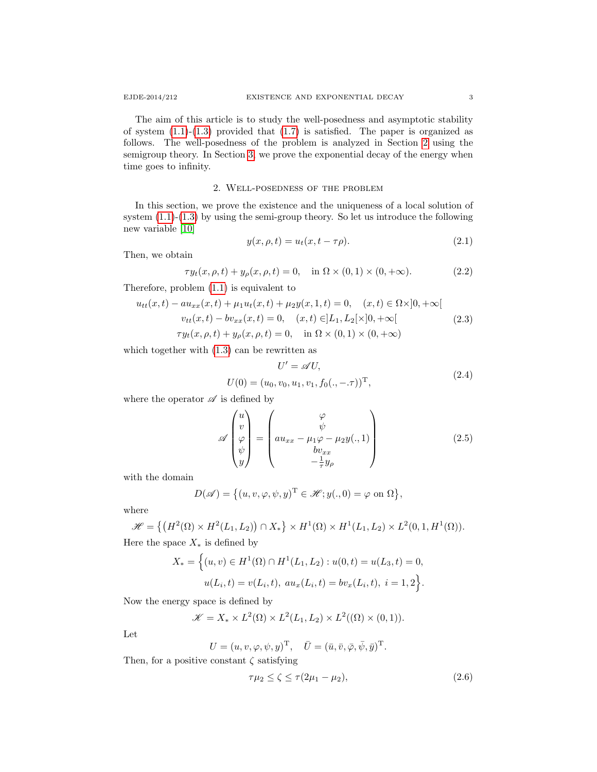The aim of this article is to study the well-posedness and asymptotic stability of system  $(1.1)-(1.3)$  $(1.1)-(1.3)$  provided that  $(1.7)$  is satisfied. The paper is organized as follows. The well-posedness of the problem is analyzed in Section [2](#page-2-0) using the semigroup theory. In Section [3,](#page-5-0) we prove the exponential decay of the energy when time goes to infinity.

## 2. Well-posedness of the problem

<span id="page-2-0"></span>In this section, we prove the existence and the uniqueness of a local solution of system  $(1.1)-(1.3)$  $(1.1)-(1.3)$  by using the semi-group theory. So let us introduce the following new variable [\[10\]](#page-10-8)

$$
y(x, \rho, t) = u_t(x, t - \tau \rho). \tag{2.1}
$$

Then, we obtain

$$
\tau y_t(x, \rho, t) + y_\rho(x, \rho, t) = 0, \quad \text{in } \Omega \times (0, 1) \times (0, +\infty). \tag{2.2}
$$

Therefore, problem [\(1.1\)](#page-0-0) is equivalent to

<span id="page-2-3"></span>
$$
u_{tt}(x,t) - au_{xx}(x,t) + \mu_1 u_t(x,t) + \mu_2 y(x,1,t) = 0, \quad (x,t) \in \Omega \times ]0, +\infty[
$$
  

$$
v_{tt}(x,t) - bv_{xx}(x,t) = 0, \quad (x,t) \in ]L_1, L_2[\times]0, +\infty[
$$
  

$$
\tau y_t(x,\rho,t) + y_\rho(x,\rho,t) = 0, \quad \text{in } \Omega \times (0,1) \times (0,+\infty)
$$
 (2.3)

which together with [\(1.3\)](#page-0-1) can be rewritten as

<span id="page-2-1"></span>
$$
U' = \mathscr{A}U,
$$
  
 
$$
U(0) = (u_0, v_0, u_1, v_1, f_0(., -\tau))^{\mathrm{T}},
$$
 (2.4)

where the operator  $\mathscr A$  is defined by

$$
\mathscr{A}\begin{pmatrix} u \\ v \\ \varphi \\ \psi \\ y \end{pmatrix} = \begin{pmatrix} \varphi \\ \psi \\ au_{xx} - \mu_1 \varphi - \mu_2 y(.,1) \\ bv_{xx} \\ -\frac{1}{\tau} y_\rho \end{pmatrix}
$$
(2.5)

with the domain

$$
D(\mathscr{A}) = \big\{ (u, v, \varphi, \psi, y)^{\mathrm{T}} \in \mathscr{H}; y(., 0) = \varphi \text{ on } \Omega \big\},\
$$

where

$$
\mathscr{H} = \left\{ \left( H^2(\Omega) \times H^2(L_1, L_2) \right) \cap X_* \right\} \times H^1(\Omega) \times H^1(L_1, L_2) \times L^2(0, 1, H^1(\Omega)).
$$

Here the space  $X_*$  is defined by

$$
X_* = \Big\{ (u, v) \in H^1(\Omega) \cap H^1(L_1, L_2) : u(0, t) = u(L_3, t) = 0,
$$
  

$$
u(L_i, t) = v(L_i, t), \ au_x(L_i, t) = bv_x(L_i, t), \ i = 1, 2 \Big\}.
$$

Now the energy space is defined by

$$
\mathscr{K} = X_* \times L^2(\Omega) \times L^2(L_1, L_2) \times L^2((\Omega) \times (0, 1)).
$$

Let

$$
U = (u, v, \varphi, \psi, y)^{\mathrm{T}}, \quad \bar{U} = (\bar{u}, \bar{v}, \bar{\varphi}, \bar{\psi}, \bar{y})^{\mathrm{T}}.
$$

Then, for a positive constant  $\zeta$  satisfying

<span id="page-2-2"></span>
$$
\tau \mu_2 \le \zeta \le \tau (2\mu_1 - \mu_2),\tag{2.6}
$$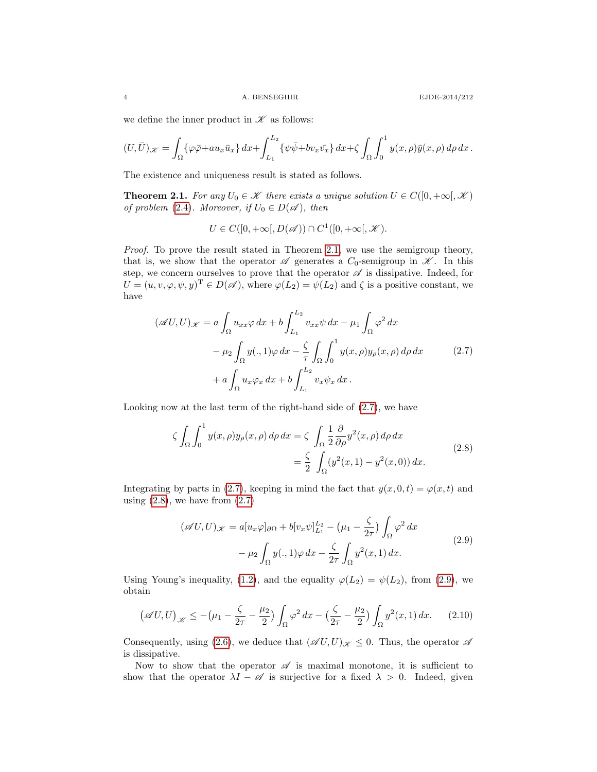we define the inner product in  $\mathscr K$  as follows:

$$
(U,\bar{U})_{\mathscr{K}} = \int_{\Omega} \{ \varphi \bar{\varphi} + au_x \bar{u}_x \} dx + \int_{L_1}^{L_2} \{ \psi \bar{\psi} + bv_x \bar{v}_x \} dx + \zeta \int_{\Omega} \int_0^1 y(x,\rho) \bar{y}(x,\rho) d\rho dx.
$$

<span id="page-3-0"></span>The existence and uniqueness result is stated as follows.

**Theorem 2.1.** For any  $U_0 \in \mathcal{K}$  there exists a unique solution  $U \in C([0, +\infty[, \mathcal{K})$ of problem [\(2.4\)](#page-2-1). Moreover, if  $U_0 \in D(\mathscr{A})$ , then

$$
U \in C([0, +\infty[, D(\mathscr{A})) \cap C^1([0, +\infty[, \mathscr{K}).
$$

Proof. To prove the result stated in Theorem [2.1,](#page-3-0) we use the semigroup theory, that is, we show that the operator  $\mathscr A$  generates a  $C_0$ -semigroup in  $\mathscr K$ . In this step, we concern ourselves to prove that the operator  $\mathscr A$  is dissipative. Indeed, for  $U = (u, v, \varphi, \psi, y)^{\mathrm{T}} \in D(\mathscr{A})$ , where  $\varphi(L_2) = \psi(L_2)$  and  $\zeta$  is a positive constant, we have

<span id="page-3-1"></span>
$$
(\mathscr{A}U, U)_{\mathscr{K}} = a \int_{\Omega} u_{xx} \varphi \, dx + b \int_{L_1}^{L_2} v_{xx} \psi \, dx - \mu_1 \int_{\Omega} \varphi^2 \, dx
$$

$$
- \mu_2 \int_{\Omega} y(., 1) \varphi \, dx - \frac{\zeta}{\tau} \int_{\Omega} \int_0^1 y(x, \rho) y_{\rho}(x, \rho) \, d\rho \, dx \qquad (2.7)
$$

$$
+ a \int_{\Omega} u_x \varphi_x \, dx + b \int_{L_1}^{L_2} v_x \psi_x \, dx.
$$

Looking now at the last term of the right-hand side of [\(2.7\)](#page-3-1), we have

<span id="page-3-2"></span>
$$
\zeta \int_{\Omega} \int_0^1 y(x, \rho) y_{\rho}(x, \rho) d\rho dx = \zeta \int_{\Omega} \frac{1}{2} \frac{\partial}{\partial \rho} y^2(x, \rho) d\rho dx
$$
  
=  $\frac{\zeta}{2} \int_{\Omega} (y^2(x, 1) - y^2(x, 0)) dx.$  (2.8)

Integrating by parts in [\(2.7\)](#page-3-1), keeping in mind the fact that  $y(x, 0, t) = \varphi(x, t)$  and using  $(2.8)$ , we have from  $(2.7)$ 

<span id="page-3-3"></span>
$$
(\mathscr{A}U, U)_{\mathscr{K}} = a[u_x \varphi]_{\partial \Omega} + b[v_x \psi]_{L_1}^{L_2} - (\mu_1 - \frac{\zeta}{2\tau}) \int_{\Omega} \varphi^2 dx
$$
  

$$
-\mu_2 \int_{\Omega} y(., 1) \varphi dx - \frac{\zeta}{2\tau} \int_{\Omega} y^2(x, 1) dx.
$$
 (2.9)

Using Young's inequality, [\(1.2\)](#page-0-2), and the equality  $\varphi(L_2) = \psi(L_2)$ , from [\(2.9\)](#page-3-3), we obtain

$$
(\mathscr{A}U, U)_{\mathscr{K}} \le -(\mu_1 - \frac{\zeta}{2\tau} - \frac{\mu_2}{2}) \int_{\Omega} \varphi^2 \, dx - \left(\frac{\zeta}{2\tau} - \frac{\mu_2}{2}\right) \int_{\Omega} y^2(x, 1) \, dx. \tag{2.10}
$$

Consequently, using [\(2.6\)](#page-2-2), we deduce that  $(\mathscr{A}U, U)_{\mathscr{K}} \leq 0$ . Thus, the operator  $\mathscr{A}$ is dissipative.

Now to show that the operator  $\mathscr A$  is maximal monotone, it is sufficient to show that the operator  $\lambda I - \mathscr{A}$  is surjective for a fixed  $\lambda > 0$ . Indeed, given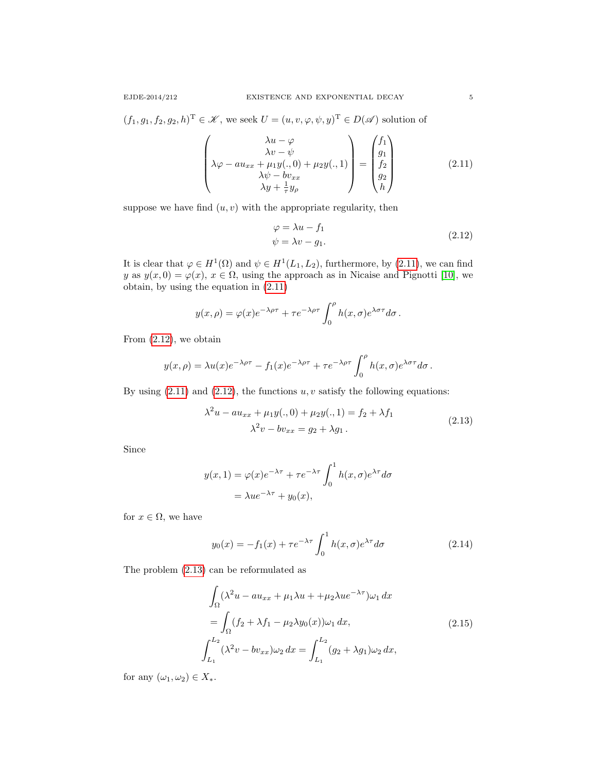$(f_1, g_1, f_2, g_2, h)^{\mathrm{T}} \in \mathcal{K}$ , we seek  $U = (u, v, \varphi, \psi, y)^{\mathrm{T}} \in D(\mathcal{A})$  solution of

<span id="page-4-0"></span>
$$
\begin{pmatrix}\n\lambda u - \varphi \\
\lambda v - \psi \\
\lambda \varphi - au_{xx} + \mu_1 y(., 0) + \mu_2 y(., 1) \\
\lambda \psi - bv_{xx} \\
\lambda y + \frac{1}{\tau} y_\rho\n\end{pmatrix} = \begin{pmatrix} f_1 \\ g_1 \\ f_2 \\ g_2 \\ h \end{pmatrix}
$$
\n(2.11)

suppose we have find  $(u, v)$  with the appropriate regularity, then

<span id="page-4-1"></span>
$$
\varphi = \lambda u - f_1 \n\psi = \lambda v - g_1.
$$
\n(2.12)

It is clear that  $\varphi \in H^1(\Omega)$  and  $\psi \in H^1(L_1, L_2)$ , furthermore, by [\(2.11\)](#page-4-0), we can find y as  $y(x, 0) = \varphi(x)$ ,  $x \in \Omega$ , using the approach as in Nicaise and Pignotti [\[10\]](#page-10-8), we obtain, by using the equation in [\(2.11\)](#page-4-0)

$$
y(x,\rho) = \varphi(x)e^{-\lambda\rho\tau} + \tau e^{-\lambda\rho\tau} \int_0^\rho h(x,\sigma)e^{\lambda\sigma\tau}d\sigma.
$$

From [\(2.12\)](#page-4-1), we obtain

$$
y(x,\rho) = \lambda u(x)e^{-\lambda\rho\tau} - f_1(x)e^{-\lambda\rho\tau} + \tau e^{-\lambda\rho\tau} \int_0^\rho h(x,\sigma)e^{\lambda\sigma\tau}d\sigma.
$$

By using  $(2.11)$  and  $(2.12)$ , the functions  $u, v$  satisfy the following equations:

<span id="page-4-2"></span>
$$
\lambda^{2}u - au_{xx} + \mu_{1}y(.,0) + \mu_{2}y(.,1) = f_{2} + \lambda f_{1}
$$
  

$$
\lambda^{2}v - bv_{xx} = g_{2} + \lambda g_{1}.
$$
 (2.13)

Since

$$
y(x, 1) = \varphi(x)e^{-\lambda \tau} + \tau e^{-\lambda \tau} \int_0^1 h(x, \sigma) e^{\lambda \tau} d\sigma
$$
  
=  $\lambda u e^{-\lambda \tau} + y_0(x),$ 

for  $x \in \Omega$ , we have

$$
y_0(x) = -f_1(x) + \tau e^{-\lambda \tau} \int_0^1 h(x, \sigma) e^{\lambda \tau} d\sigma \qquad (2.14)
$$

The problem [\(2.13\)](#page-4-2) can be reformulated as

<span id="page-4-3"></span>
$$
\int_{\Omega} (\lambda^2 u - au_{xx} + \mu_1 \lambda u + + \mu_2 \lambda u e^{-\lambda \tau}) \omega_1 dx
$$
\n
$$
= \int_{\Omega} (f_2 + \lambda f_1 - \mu_2 \lambda y_0(x)) \omega_1 dx,
$$
\n
$$
\int_{L_1}^{L_2} (\lambda^2 v - bv_{xx}) \omega_2 dx = \int_{L_1}^{L_2} (g_2 + \lambda g_1) \omega_2 dx,
$$
\n(2.15)

for any  $(\omega_1, \omega_2) \in X_*$ .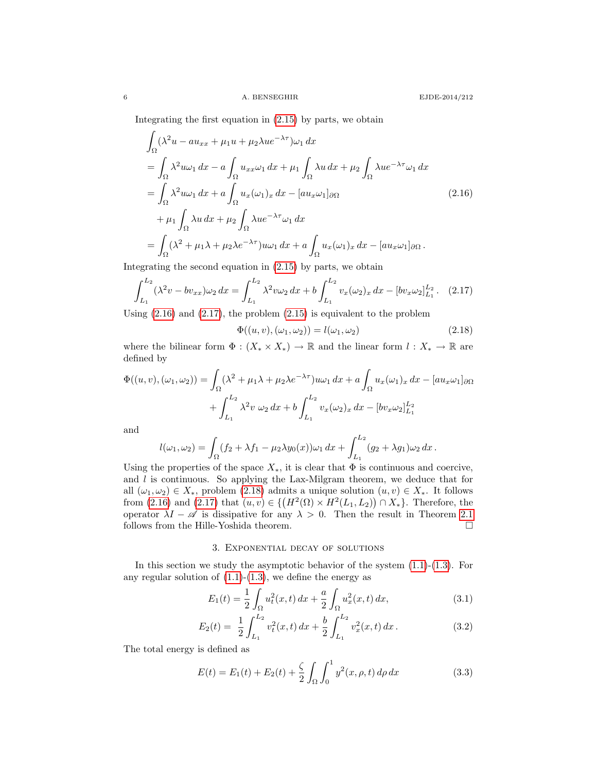Integrating the first equation in [\(2.15\)](#page-4-3) by parts, we obtain

<span id="page-5-1"></span>
$$
\int_{\Omega} (\lambda^2 u - au_{xx} + \mu_1 u + \mu_2 \lambda u e^{-\lambda \tau}) \omega_1 dx
$$
\n
$$
= \int_{\Omega} \lambda^2 u \omega_1 dx - a \int_{\Omega} u_{xx} \omega_1 dx + \mu_1 \int_{\Omega} \lambda u dx + \mu_2 \int_{\Omega} \lambda u e^{-\lambda \tau} \omega_1 dx
$$
\n
$$
= \int_{\Omega} \lambda^2 u \omega_1 dx + a \int_{\Omega} u_x (\omega_1)_x dx - [au_x \omega_1]_{\partial \Omega} \qquad (2.16)
$$
\n
$$
+ \mu_1 \int_{\Omega} \lambda u dx + \mu_2 \int_{\Omega} \lambda u e^{-\lambda \tau} \omega_1 dx
$$
\n
$$
= \int_{\Omega} (\lambda^2 + \mu_1 \lambda + \mu_2 \lambda e^{-\lambda \tau}) u \omega_1 dx + a \int_{\Omega} u_x (\omega_1)_x dx - [au_x \omega_1]_{\partial \Omega}.
$$

Integrating the second equation in [\(2.15\)](#page-4-3) by parts, we obtain

<span id="page-5-2"></span>
$$
\int_{L_1}^{L_2} (\lambda^2 v - b v_{xx}) \omega_2 \, dx = \int_{L_1}^{L_2} \lambda^2 v \omega_2 \, dx + b \int_{L_1}^{L_2} v_x(\omega_2)_x \, dx - [b v_x \omega_2]_{L_1}^{L_2}.
$$
 (2.17)

Using  $(2.16)$  and  $(2.17)$ , the problem  $(2.15)$  is equivalent to the problem

<span id="page-5-3"></span>
$$
\Phi((u,v),(\omega_1,\omega_2)) = l(\omega_1,\omega_2) \tag{2.18}
$$

where the bilinear form  $\Phi : (X_* \times X_*) \to \mathbb{R}$  and the linear form  $l : X_* \to \mathbb{R}$  are defined by

$$
\Phi((u,v),(\omega_1,\omega_2)) = \int_{\Omega} (\lambda^2 + \mu_1 \lambda + \mu_2 \lambda e^{-\lambda \tau}) u \omega_1 dx + a \int_{\Omega} u_x(\omega_1)_x dx - [au_x \omega_1]_{\partial \Omega}
$$

$$
+ \int_{L_1}^{L_2} \lambda^2 v \omega_2 dx + b \int_{L_1}^{L_2} v_x(\omega_2)_x dx - [bv_x \omega_2]_{L_1}^{L_2}
$$

and

$$
l(\omega_1, \omega_2) = \int_{\Omega} (f_2 + \lambda f_1 - \mu_2 \lambda y_0(x)) \omega_1 dx + \int_{L_1}^{L_2} (g_2 + \lambda g_1) \omega_2 dx.
$$

Using the properties of the space  $X_*$ , it is clear that  $\Phi$  is continuous and coercive, and  $l$  is continuous. So applying the Lax-Milgram theorem, we deduce that for all  $(\omega_1, \omega_2) \in X_*$ , problem [\(2.18\)](#page-5-3) admits a unique solution  $(u, v) \in X_*$ . It follows from [\(2.16\)](#page-5-1) and [\(2.17\)](#page-5-2) that  $(u, v) \in \{ (H^2(\Omega) \times H^2(L_1, L_2)) \cap X_* \}$ . Therefore, the operator  $\lambda I - \mathscr{A}$  is dissipative for any  $\lambda > 0$ . Then the result in Theorem [2.1](#page-3-0) follows from the Hille-Yoshida theorem.  $\hfill \Box$ 

## 3. Exponential decay of solutions

<span id="page-5-0"></span>In this section we study the asymptotic behavior of the system  $(1.1)-(1.3)$  $(1.1)-(1.3)$ . For any regular solution of  $(1.1)-(1.3)$  $(1.1)-(1.3)$ , we define the energy as

$$
E_1(t) = \frac{1}{2} \int_{\Omega} u_t^2(x, t) dx + \frac{a}{2} \int_{\Omega} u_x^2(x, t) dx,
$$
\n(3.1)

$$
E_2(t) = \frac{1}{2} \int_{L_1}^{L_2} v_t^2(x, t) dx + \frac{b}{2} \int_{L_1}^{L_2} v_x^2(x, t) dx.
$$
 (3.2)

The total energy is defined as

<span id="page-5-4"></span>
$$
E(t) = E_1(t) + E_2(t) + \frac{\zeta}{2} \int_{\Omega} \int_0^1 y^2(x, \rho, t) d\rho dx \qquad (3.3)
$$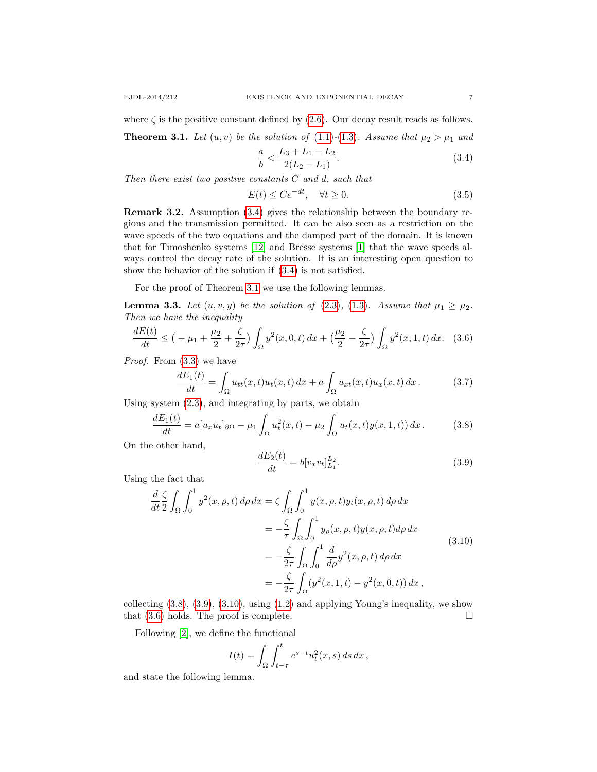<span id="page-6-1"></span>**Theorem 3.1.** Let  $(u, v)$  be the solution of  $(1.1)-(1.3)$  $(1.1)-(1.3)$  $(1.1)-(1.3)$ . Assume that  $\mu_2 > \mu_1$  and

<span id="page-6-0"></span>
$$
\frac{a}{b} < \frac{L_3 + L_1 - L_2}{2(L_2 - L_1)}.\tag{3.4}
$$

Then there exist two positive constants  $C$  and  $d$ , such that

<span id="page-6-6"></span>
$$
E(t) \le Ce^{-dt}, \quad \forall t \ge 0. \tag{3.5}
$$

Remark 3.2. Assumption [\(3.4\)](#page-6-0) gives the relationship between the boundary regions and the transmission permitted. It can be also seen as a restriction on the wave speeds of the two equations and the damped part of the domain. It is known that for Timoshenko systems [\[12\]](#page-10-10) and Bresse systems [\[1\]](#page-10-11) that the wave speeds always control the decay rate of the solution. It is an interesting open question to show the behavior of the solution if [\(3.4\)](#page-6-0) is not satisfied.

For the proof of Theorem [3.1](#page-6-1) we use the following lemmas.

**Lemma 3.3.** Let  $(u, v, y)$  be the solution of [\(2.3\)](#page-2-3), [\(1.3\)](#page-0-1). Assume that  $\mu_1 \geq \mu_2$ . Then we have the inequality

<span id="page-6-5"></span>
$$
\frac{dE(t)}{dt} \le \left(-\mu_1 + \frac{\mu_2}{2} + \frac{\zeta}{2\tau}\right) \int_{\Omega} y^2(x, 0, t) \, dx + \left(\frac{\mu_2}{2} - \frac{\zeta}{2\tau}\right) \int_{\Omega} y^2(x, 1, t) \, dx. \tag{3.6}
$$

Proof. From [\(3.3\)](#page-5-4) we have

$$
\frac{dE_1(t)}{dt} = \int_{\Omega} u_{tt}(x,t)u_t(x,t) dx + a \int_{\Omega} u_{xt}(x,t)u_x(x,t) dx.
$$
 (3.7)

Using system [\(2.3\)](#page-2-3), and integrating by parts, we obtain

<span id="page-6-2"></span>
$$
\frac{dE_1(t)}{dt} = a[u_x u_t]_{\partial\Omega} - \mu_1 \int_{\Omega} u_t^2(x, t) - \mu_2 \int_{\Omega} u_t(x, t) y(x, 1, t) dx.
$$
 (3.8)

On the other hand,

<span id="page-6-3"></span>
$$
\frac{dE_2(t)}{dt} = b[v_x v_t]_{L_1}^{L_2}.
$$
\n(3.9)

Using the fact that

<span id="page-6-4"></span>
$$
\frac{d}{dt} \frac{\zeta}{2} \int_{\Omega} \int_{0}^{1} y^{2}(x, \rho, t) d\rho dx = \zeta \int_{\Omega} \int_{0}^{1} y(x, \rho, t) y_{t}(x, \rho, t) d\rho dx \n= -\frac{\zeta}{\tau} \int_{\Omega} \int_{0}^{1} y_{\rho}(x, \rho, t) y(x, \rho, t) d\rho dx \n= -\frac{\zeta}{2\tau} \int_{\Omega} \int_{0}^{1} \frac{d}{d\rho} y^{2}(x, \rho, t) d\rho dx \n= -\frac{\zeta}{2\tau} \int_{\Omega} (y^{2}(x, 1, t) - y^{2}(x, 0, t)) dx,
$$
\n(3.10)

collecting  $(3.8), (3.9), (3.10),$  $(3.8), (3.9), (3.10),$  $(3.8), (3.9), (3.10),$  $(3.8), (3.9), (3.10),$  $(3.8), (3.9), (3.10),$  using  $(1.2)$  and applying Young's inequality, we show that  $(3.6)$  holds. The proof is complete.

Following [\[2\]](#page-10-12), we define the functional

$$
I(t) = \int_{\Omega} \int_{t-\tau}^{t} e^{s-t} u_t^2(x, s) ds dx,
$$

and state the following lemma.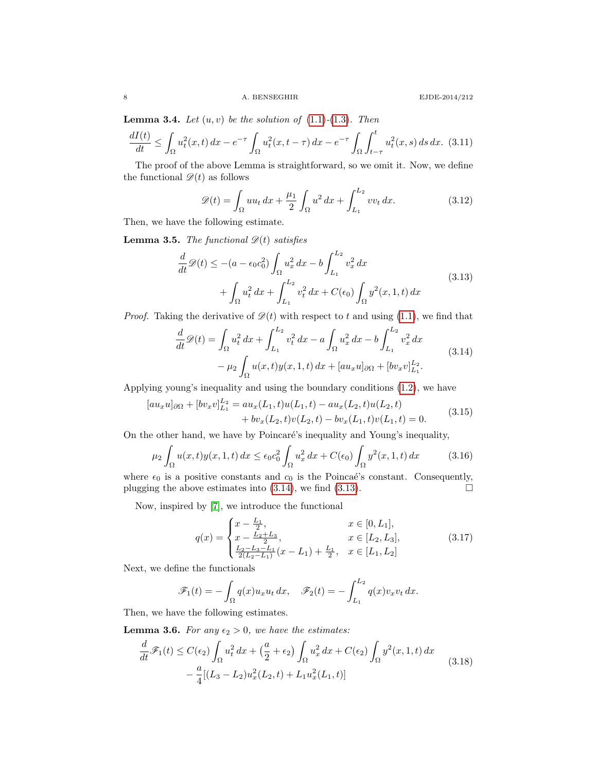**Lemma 3.4.** Let  $(u, v)$  be the solution of  $(1.1)-(1.3)$  $(1.1)-(1.3)$  $(1.1)-(1.3)$ . Then

<span id="page-7-4"></span>
$$
\frac{dI(t)}{dt} \le \int_{\Omega} u_t^2(x,t) \, dx - e^{-\tau} \int_{\Omega} u_t^2(x,t-\tau) \, dx - e^{-\tau} \int_{\Omega} \int_{t-\tau}^t u_t^2(x,s) \, ds \, dx. \tag{3.11}
$$

The proof of the above Lemma is straightforward, so we omit it. Now, we define the functional  $\mathscr{D}(t)$  as follows

$$
\mathscr{D}(t) = \int_{\Omega} u u_t \, dx + \frac{\mu_1}{2} \int_{\Omega} u^2 \, dx + \int_{L_1}^{L_2} v v_t \, dx. \tag{3.12}
$$

Then, we have the following estimate.

**Lemma 3.5.** The functional  $\mathscr{D}(t)$  satisfies

<span id="page-7-1"></span>
$$
\frac{d}{dt}\mathscr{D}(t) \leq -(a - \epsilon_0 c_0^2) \int_{\Omega} u_x^2 dx - b \int_{L_1}^{L_2} v_x^2 dx \n+ \int_{\Omega} u_t^2 dx + \int_{L_1}^{L_2} v_t^2 dx + C(\epsilon_0) \int_{\Omega} y^2(x, 1, t) dx
$$
\n(3.13)

*Proof.* Taking the derivative of  $\mathcal{D}(t)$  with respect to t and using [\(1.1\)](#page-0-0), we find that

<span id="page-7-0"></span>
$$
\frac{d}{dt}\mathcal{D}(t) = \int_{\Omega} u_t^2 dx + \int_{L_1}^{L_2} v_t^2 dx - a \int_{\Omega} u_x^2 dx - b \int_{L_1}^{L_2} v_x^2 dx
$$
\n
$$
- \mu_2 \int_{\Omega} u(x, t) y(x, 1, t) dx + [au_x u]_{\partial \Omega} + [bv_x v]_{L_1}^{L_2}.
$$
\n(3.14)

Applying young's inequality and using the boundary conditions [\(1.2\)](#page-0-2), we have

$$
[au_xu]_{\partial\Omega} + [bv_xv]_{L_1}^{L_2} = au_x(L_1,t)u(L_1,t) - au_x(L_2,t)u(L_2,t) + bv_x(L_2,t)v(L_2,t) - bv_x(L_1,t)v(L_1,t) = 0.
$$
\n(3.15)

On the other hand, we have by Poincaré's inequality and Young's inequality,

$$
\mu_2 \int_{\Omega} u(x,t)y(x,1,t) dx \le \epsilon_0 c_0^2 \int_{\Omega} u_x^2 dx + C(\epsilon_0) \int_{\Omega} y^2(x,1,t) dx \tag{3.16}
$$

where  $\epsilon_0$  is a positive constants and  $c_0$  is the Poincaé's constant. Consequently, plugging the above estimates into  $(3.14)$ , we find  $(3.13)$ .

Now, inspired by [\[7\]](#page-10-3), we introduce the functional

<span id="page-7-2"></span>
$$
q(x) = \begin{cases} x - \frac{L_1}{2}, & x \in [0, L_1], \\ x - \frac{L_2 + L_3}{2}, & x \in [L_2, L_3], \\ \frac{L_2 - L_3 - L_1}{2(L_2 - L_1)}(x - L_1) + \frac{L_1}{2}, & x \in [L_1, L_2] \end{cases}
$$
(3.17)

Next, we define the functionals

$$
\mathscr{F}_1(t) = -\int_{\Omega} q(x)u_x u_t dx, \quad \mathscr{F}_2(t) = -\int_{L_1}^{L_2} q(x)v_x v_t dx.
$$

Then, we have the following estimates.

**Lemma 3.6.** For any  $\epsilon_2 > 0$ , we have the estimates:

<span id="page-7-3"></span>
$$
\frac{d}{dt}\mathscr{F}_1(t) \le C(\epsilon_2) \int_{\Omega} u_t^2 dx + \left(\frac{a}{2} + \epsilon_2\right) \int_{\Omega} u_x^2 dx + C(\epsilon_2) \int_{\Omega} y^2(x, 1, t) dx \n- \frac{a}{4} [(L_3 - L_2)u_x^2(L_2, t) + L_1 u_x^2(L_1, t)]
$$
\n(3.18)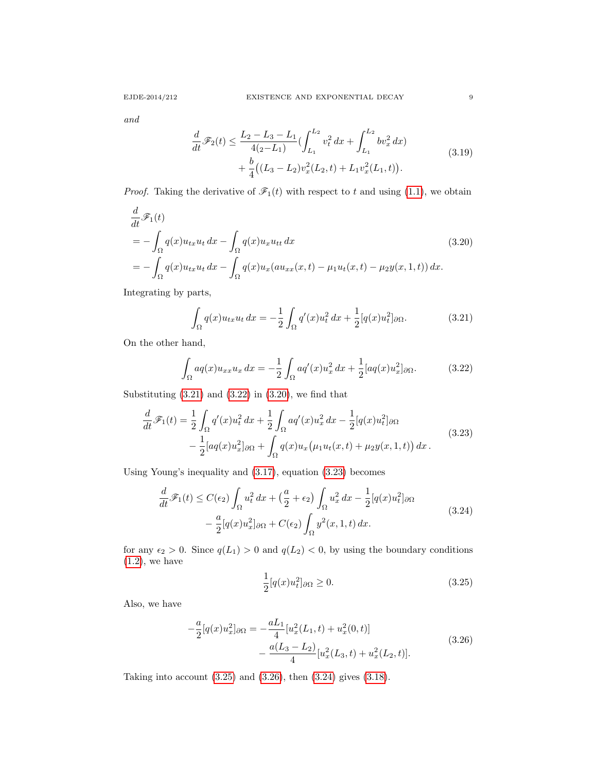and

<span id="page-8-7"></span>
$$
\frac{d}{dt}\mathscr{F}_2(t) \le \frac{L_2 - L_3 - L_1}{4(2 - L_1)} \left( \int_{L_1}^{L_2} v_t^2 dx + \int_{L_1}^{L_2} bv_x^2 dx \right) \n+ \frac{b}{4} \left( (L_3 - L_2)v_x^2(L_2, t) + L_1 v_x^2(L_1, t) \right).
$$
\n(3.19)

*Proof.* Taking the derivative of  $\mathcal{F}_1(t)$  with respect to t and using [\(1.1\)](#page-0-0), we obtain

<span id="page-8-2"></span>
$$
\frac{d}{dt}\mathscr{F}_1(t)
$$
\n
$$
= -\int_{\Omega} q(x)u_{tx}u_t dx - \int_{\Omega} q(x)u_x u_{tt} dx
$$
\n
$$
= -\int_{\Omega} q(x)u_{tx}u_t dx - \int_{\Omega} q(x)u_x (au_{xx}(x,t) - \mu_1 u_t(x,t) - \mu_2 y(x,1,t)) dx.
$$
\n(3.20)

Integrating by parts,

<span id="page-8-0"></span>
$$
\int_{\Omega} q(x)u_{tx}u_t dx = -\frac{1}{2} \int_{\Omega} q'(x)u_t^2 dx + \frac{1}{2} [q(x)u_t^2]_{\partial\Omega}.
$$
 (3.21)

On the other hand,

<span id="page-8-1"></span>
$$
\int_{\Omega} a q(x) u_{xx} u_x dx = -\frac{1}{2} \int_{\Omega} a q'(x) u_x^2 dx + \frac{1}{2} [a q(x) u_x^2]_{\partial \Omega}.
$$
 (3.22)

Substituting  $(3.21)$  and  $(3.22)$  in  $(3.20)$ , we find that

<span id="page-8-3"></span>
$$
\frac{d}{dt}\mathscr{F}_1(t) = \frac{1}{2} \int_{\Omega} q'(x)u_t^2 dx + \frac{1}{2} \int_{\Omega} a q'(x)u_x^2 dx - \frac{1}{2} [q(x)u_t^2]_{\partial\Omega} \n- \frac{1}{2} [a q(x)u_x^2]_{\partial\Omega} + \int_{\Omega} q(x)u_x (\mu_1 u_t(x,t) + \mu_2 y(x,1,t)) dx.
$$
\n(3.23)

Using Young's inequality and [\(3.17\)](#page-7-2), equation [\(3.23\)](#page-8-3) becomes

<span id="page-8-6"></span>
$$
\frac{d}{dt}\mathscr{F}_1(t) \le C(\epsilon_2) \int_{\Omega} u_t^2 dx + \left(\frac{a}{2} + \epsilon_2\right) \int_{\Omega} u_x^2 dx - \frac{1}{2} [q(x)u_t^2]_{\partial\Omega} \n- \frac{a}{2} [q(x)u_x^2]_{\partial\Omega} + C(\epsilon_2) \int_{\Omega} y^2(x, 1, t) dx.
$$
\n(3.24)

for any  $\epsilon_2 > 0$ . Since  $q(L_1) > 0$  and  $q(L_2) < 0$ , by using the boundary conditions  $(1.2)$ , we have

<span id="page-8-4"></span>
$$
\frac{1}{2}[q(x)u_t^2]_{\partial\Omega} \ge 0. \tag{3.25}
$$

Also, we have

<span id="page-8-5"></span>
$$
-\frac{a}{2}[q(x)u_x^2]_{\partial\Omega} = -\frac{aL_1}{4}[u_x^2(L_1,t) + u_x^2(0,t)]
$$
  

$$
-\frac{a(L_3 - L_2)}{4}[u_x^2(L_3,t) + u_x^2(L_2,t)].
$$
\n(3.26)

Taking into account [\(3.25\)](#page-8-4) and [\(3.26\)](#page-8-5), then [\(3.24\)](#page-8-6) gives [\(3.18\)](#page-7-3).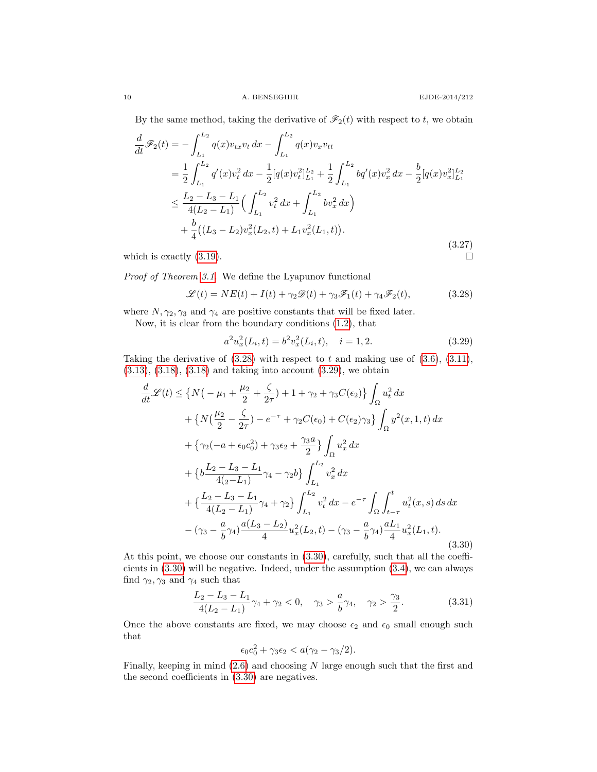By the same method, taking the derivative of  $\mathcal{F}_2(t)$  with respect to t, we obtain

$$
\frac{d}{dt}\mathscr{F}_2(t) = -\int_{L_1}^{L_2} q(x)v_{tx}v_t dx - \int_{L_1}^{L_2} q(x)v_xv_{tt}
$$
\n
$$
= \frac{1}{2}\int_{L_1}^{L_2} q'(x)v_t^2 dx - \frac{1}{2}[q(x)v_t^2]_{L_1}^{L_2} + \frac{1}{2}\int_{L_1}^{L_2} bq'(x)v_x^2 dx - \frac{b}{2}[q(x)v_x^2]_{L_1}^{L_2}
$$
\n
$$
\leq \frac{L_2 - L_3 - L_1}{4(L_2 - L_1)} \Big(\int_{L_1}^{L_2} v_t^2 dx + \int_{L_1}^{L_2} bv_x^2 dx\Big)
$$
\n
$$
+ \frac{b}{4}((L_3 - L_2)v_x^2(L_2, t) + L_1v_x^2(L_1, t)).
$$
\n
$$
\text{(3.27)}
$$
\nwhich is exactly (3.19).

which is exactly  $(3.19)$ .

Proof of Theorem [3.1.](#page-6-1) We define the Lyapunov functional

<span id="page-9-0"></span>
$$
\mathcal{L}(t) = NE(t) + I(t) + \gamma_2 \mathcal{D}(t) + \gamma_3 \mathcal{F}_1(t) + \gamma_4 \mathcal{F}_2(t),
$$
\n(3.28)

where  $N, \gamma_2, \gamma_3$  and  $\gamma_4$  are positive constants that will be fixed later.

Now, it is clear from the boundary conditions [\(1.2\)](#page-0-2), that

<span id="page-9-1"></span>
$$
a^2 u_x^2(L_i, t) = b^2 v_x^2(L_i, t), \quad i = 1, 2.
$$
\n(3.29)

Taking the derivative of  $(3.28)$  with respect to t and making use of  $(3.6)$ ,  $(3.11)$ , [\(3.13\)](#page-7-1), [\(3.18\)](#page-7-3), [\(3.18\)](#page-7-3) and taking into account [\(3.29\)](#page-9-1), we obtain

<span id="page-9-2"></span>
$$
\frac{d}{dt}\mathscr{L}(t) \leq \left\{ N\left( -\mu_{1} + \frac{\mu_{2}}{2} + \frac{\zeta}{2\tau} \right) + 1 + \gamma_{2} + \gamma_{3}C(\epsilon_{2}) \right\} \int_{\Omega} u_{t}^{2} dx \n+ \left\{ N\left( \frac{\mu_{2}}{2} - \frac{\zeta}{2\tau} \right) - e^{-\tau} + \gamma_{2}C(\epsilon_{0}) + C(\epsilon_{2})\gamma_{3} \right\} \int_{\Omega} y^{2}(x, 1, t) dx \n+ \left\{ \gamma_{2}(-a + \epsilon_{0}c_{0}^{2}) + \gamma_{3}\epsilon_{2} + \frac{\gamma_{3}a}{2} \right\} \int_{\Omega} u_{x}^{2} dx \n+ \left\{ b\frac{L_{2} - L_{3} - L_{1}}{4(z - L_{1})} \gamma_{4} - \gamma_{2}b \right\} \int_{L_{1}}^{L_{2}} v_{x}^{2} dx \n+ \left\{ \frac{L_{2} - L_{3} - L_{1}}{4(L_{2} - L_{1})} \gamma_{4} + \gamma_{2} \right\} \int_{L_{1}}^{L_{2}} v_{t}^{2} dx - e^{-\tau} \int_{\Omega} \int_{t-\tau}^{t} u_{t}^{2}(x, s) ds dx \n- (\gamma_{3} - \frac{a}{b}\gamma_{4}) \frac{a(L_{3} - L_{2})}{4} u_{x}^{2}(L_{2}, t) - (\gamma_{3} - \frac{a}{b}\gamma_{4}) \frac{aL_{1}}{4} u_{x}^{2}(L_{1}, t).
$$
\n(3.30)

At this point, we choose our constants in [\(3.30\)](#page-9-2), carefully, such that all the coefficients in [\(3.30\)](#page-9-2) will be negative. Indeed, under the assumption [\(3.4\)](#page-6-0), we can always find  $\gamma_2, \gamma_3$  and  $\gamma_4$  such that

$$
\frac{L_2 - L_3 - L_1}{4(L_2 - L_1)} \gamma_4 + \gamma_2 < 0, \quad \gamma_3 > \frac{a}{b} \gamma_4, \quad \gamma_2 > \frac{\gamma_3}{2}.\tag{3.31}
$$

Once the above constants are fixed, we may choose  $\epsilon_2$  and  $\epsilon_0$  small enough such that

$$
\epsilon_0 c_0^2 + \gamma_3 \epsilon_2 < a(\gamma_2 - \gamma_3/2).
$$

Finally, keeping in mind [\(2.6\)](#page-2-2) and choosing N large enough such that the first and the second coefficients in [\(3.30\)](#page-9-2) are negatives.